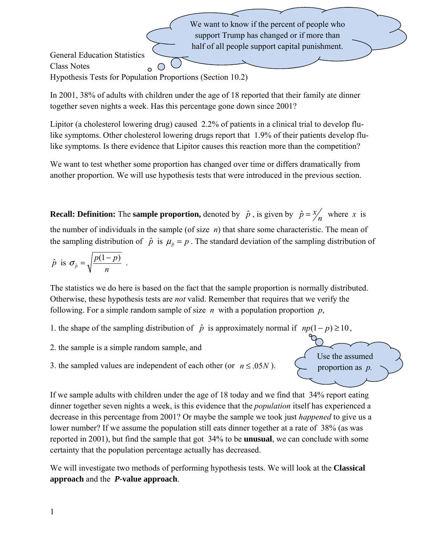support Trump has changed or if more than half of all people support capital punishment. General Education Statistics Class Notes ◯ Hypothesis Tests for Population Proportions (Section 10.2)

In 2001, 38% of adults with children under the age of 18 reported that their family ate dinner together seven nights a week. Has this percentage gone down since 2001?

We want to know if the percent of people who

Lipitor (a cholesterol lowering drug) caused 2.2% of patients in a clinical trial to develop flulike symptoms. Other cholesterol lowering drugs report that 1.9% of their patients develop flulike symptoms. Is there evidence that Lipitor causes this reaction more than the competition?

We want to test whether some proportion has changed over time or differs dramatically from another proportion. We will use hypothesis tests that were introduced in the previous section.

**Recall: Definition:** The **sample proportion**, denoted by  $\hat{p}$ , is given by  $\hat{p} = x'_n$  where *x* is the number of individuals in the sample (of size *n*) that share some characteristic. The mean of the sampling distribution of  $\hat{p}$  is  $\mu_{\hat{p}} = p$ . The standard deviation of the sampling distribution of

$$
\hat{p} \text{ is } \sigma_{\hat{p}} = \sqrt{\frac{p(1-p)}{n}} \text{ .}
$$

The statistics we do here is based on the fact that the sample proportion is normally distributed. Otherwise, these hypothesis tests are *not* valid. Remember that requires that we verify the following. For a simple random sample of size  $n$  with a population proportion  $p$ ,

- 1. the shape of the sampling distribution of  $\hat{p}$  is approximately normal if  $np(1-p) \ge 10$ ,
- 2. the sample is a simple random sample, and
- 3. the sampled values are independent of each other (or  $n \le 0.05N$ ).

Use the assumed proportion as *p.*

If we sample adults with children under the age of 18 today and we find that 34% report eating dinner together seven nights a week, is this evidence that the *population* itself has experienced a decrease in this percentage from 2001? Or maybe the sample we took just *happened* to give us a lower number? If we assume the population still eats dinner together at a rate of 38% (as was reported in 2001), but find the sample that got 34% to be **unusual**, we can conclude with some certainty that the population percentage actually has decreased.

We will investigate two methods of performing hypothesis tests. We will look at the **Classical approach** and the*P***-value approach**.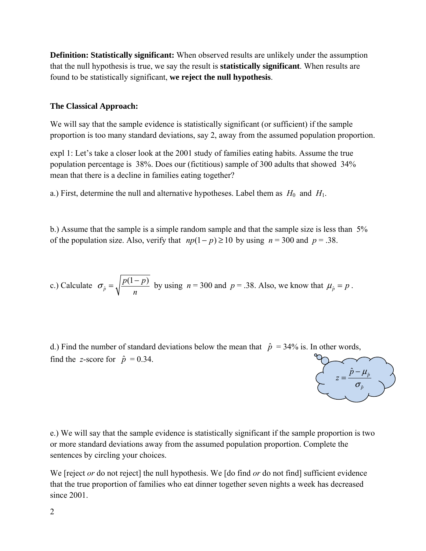**Definition: Statistically significant:** When observed results are unlikely under the assumption that the null hypothesis is true, we say the result is **statistically significant**. When results are found to be statistically significant, **we reject the null hypothesis**.

## **The Classical Approach:**

We will say that the sample evidence is statistically significant (or sufficient) if the sample proportion is too many standard deviations, say 2, away from the assumed population proportion.

expl 1: Let's take a closer look at the 2001 study of families eating habits. Assume the true population percentage is 38%. Does our (fictitious) sample of 300 adults that showed 34% mean that there is a decline in families eating together?

a.) First, determine the null and alternative hypotheses. Label them as  $H_0$  and  $H_1$ .

b.) Assume that the sample is a simple random sample and that the sample size is less than 5% of the population size. Also, verify that  $np(1-p) \ge 10$  by using  $n = 300$  and  $p = 0.38$ .

c.) Calculate 
$$
\sigma_{\hat{p}} = \sqrt{\frac{p(1-p)}{n}}
$$
 by using  $n = 300$  and  $p = .38$ . Also, we know that  $\mu_{\hat{p}} = p$ .

d.) Find the number of standard deviations below the mean that  $\hat{p} = 34\%$  is. In other words, find the *z*-score for  $\hat{p} = 0.34$ .



e.) We will say that the sample evidence is statistically significant if the sample proportion is two or more standard deviations away from the assumed population proportion. Complete the sentences by circling your choices.

We [reject *or* do not reject] the null hypothesis. We [do find *or* do not find] sufficient evidence that the true proportion of families who eat dinner together seven nights a week has decreased since 2001.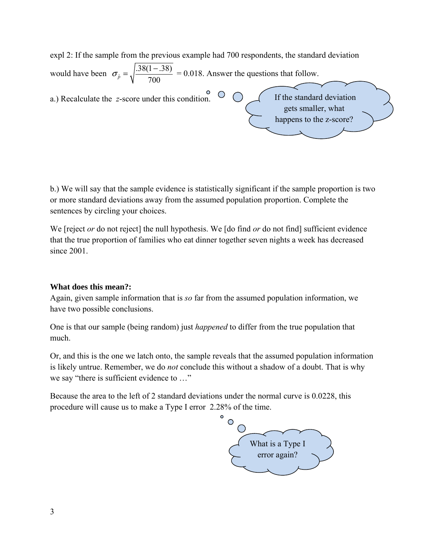expl 2: If the sample from the previous example had 700 respondents, the standard deviation would have been  $\sigma_{\hat{p}} = \sqrt{\frac{.38(1-.38)}{700}}$  $\sigma_{\hat{p}} = \sqrt{\frac{.38(1-.38)}{700}} = 0.018$ . Answer the questions that follow. a.) Recalculate the *z*-score under this condition.  $\bigcirc$  If the standard deviation gets smaller, what happens to the z-score?

b.) We will say that the sample evidence is statistically significant if the sample proportion is two or more standard deviations away from the assumed population proportion. Complete the sentences by circling your choices.

We [reject *or* do not reject] the null hypothesis. We [do find *or* do not find] sufficient evidence that the true proportion of families who eat dinner together seven nights a week has decreased since 2001.

## **What does this mean?:**

Again, given sample information that is *so* far from the assumed population information, we have two possible conclusions.

One is that our sample (being random) just *happened* to differ from the true population that much.

Or, and this is the one we latch onto, the sample reveals that the assumed population information is likely untrue. Remember, we do *not* conclude this without a shadow of a doubt. That is why we say "there is sufficient evidence to …"

Because the area to the left of 2 standard deviations under the normal curve is 0.0228, this procedure will cause us to make a Type I error 2.28% of the time.

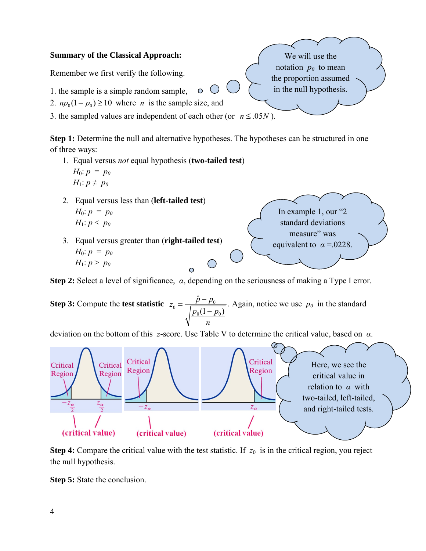



**Step 4:** Compare the critical value with the test statistic. If  $z_0$  is in the critical region, you reject the null hypothesis.

**Step 5:** State the conclusion.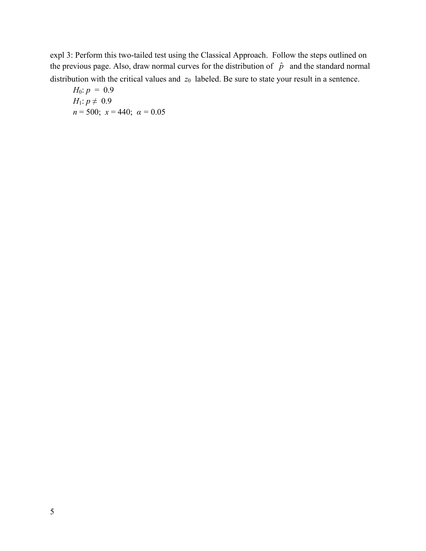expl 3: Perform this two-tailed test using the Classical Approach. Follow the steps outlined on the previous page. Also, draw normal curves for the distribution of  $\hat{p}$  and the standard normal distribution with the critical values and  $z_0$  labeled. Be sure to state your result in a sentence.

*H*<sub>0</sub>: 
$$
p = 0.9
$$
  
\n*H*<sub>1</sub>:  $p \neq 0.9$   
\n $n = 500; x = 440; \alpha = 0.05$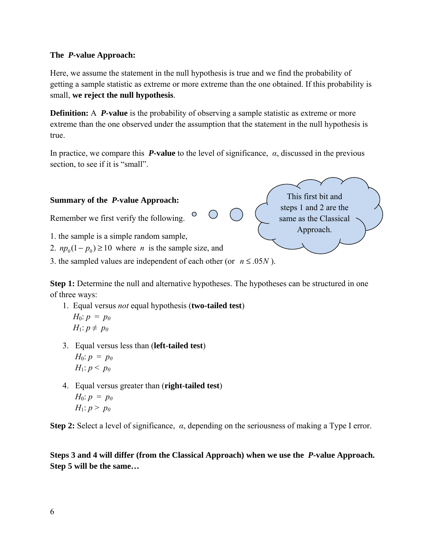## **The** *P***-value Approach:**

Here, we assume the statement in the null hypothesis is true and we find the probability of getting a sample statistic as extreme or more extreme than the one obtained. If this probability is small, **we reject the null hypothesis**.

**Definition:** A *P***-value** is the probability of observing a sample statistic as extreme or more extreme than the one observed under the assumption that the statement in the null hypothesis is true.

In practice, we compare this *P-***value** to the level of significance, *α*, discussed in the previous section, to see if it is "small".



**Step 1:** Determine the null and alternative hypotheses. The hypotheses can be structured in one of three ways:

- 1. Equal versus *not* equal hypothesis (**two-tailed test**) *H*<sub>0</sub>:  $p = p_0$ *H*<sub>1</sub>:  $p \neq p_0$
- 3. Equal versus less than (**left-tailed test**) *H*<sub>0</sub>:  $p = p_0$ *H*<sub>1</sub>:  $p < p_0$
- 4. Equal versus greater than (**right-tailed test**) *H*<sub>0</sub>:  $p = p_0$ *H*<sub>1</sub>:  $p > p_0$

**Step 2:** Select a level of significance, *α*, depending on the seriousness of making a Type I error.

**Steps 3 and 4 will differ (from the Classical Approach) when we use the** *P***-value Approach. Step 5 will be the same…**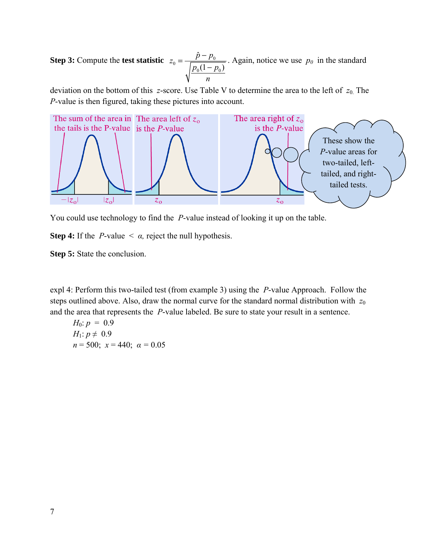**Step 3:** Compute the **test statistic**  $z_0 = \frac{P - P_0}{\sqrt{1 - P_0}}$  $0^{1}$   $P_0$  $\hat{v}$  $(1 - p_0)$  $z_0 = \frac{\hat{p} - p}{\sqrt{p^2 + p^2}}$  $p_0(1-p)$ *n*  $=\frac{\hat{p}-p_0}{\sqrt{p_0(1-p_0)}}$ . Again, notice we use  $p_0$  in the standard

deviation on the bottom of this *z*-score. Use Table V to determine the area to the left of *z*0. The *P*-value is then figured, taking these pictures into account.



You could use technology to find the *P*-value instead of looking it up on the table.

**Step 4:** If the *P*-value  $\lt \alpha$ , reject the null hypothesis.

**Step 5:** State the conclusion.

expl 4: Perform this two-tailed test (from example 3) using the *P*-value Approach. Follow the steps outlined above. Also, draw the normal curve for the standard normal distribution with  $z_0$ and the area that represents the *P*-value labeled. Be sure to state your result in a sentence.

*H*<sub>0</sub>:  $p = 0.9$ *H*<sub>1</sub>:  $p \neq 0.9$ *n* = 500; *x* = 440; *α =* 0.05